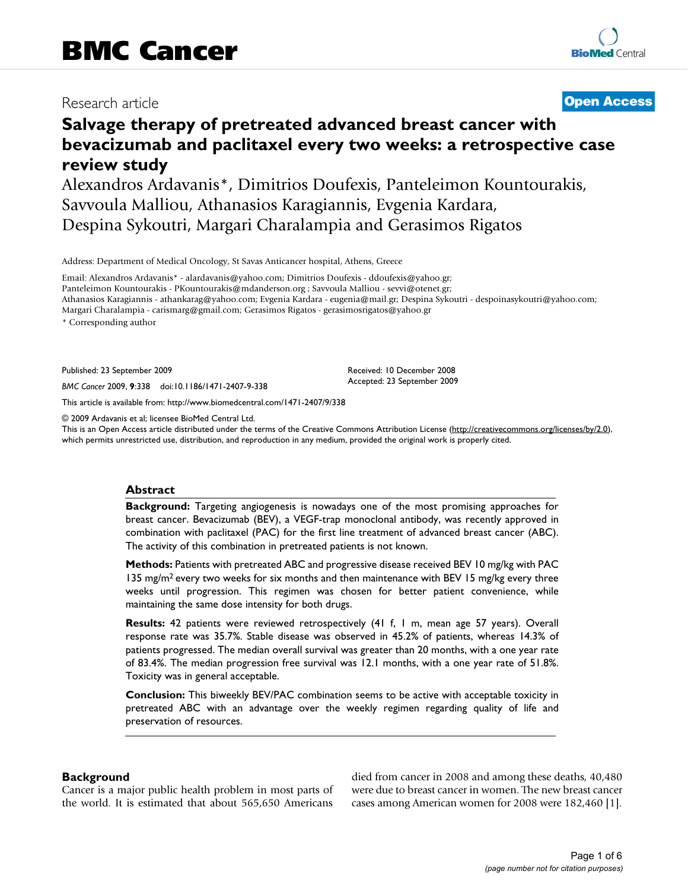# Research article

# **[Open Access](http://www.biomedcentral.com/info/about/charter/)**

# **Salvage therapy of pretreated advanced breast cancer with bevacizumab and paclitaxel every two weeks: a retrospective case review study**

Alexandros Ardavanis\*, Dimitrios Doufexis, Panteleimon Kountourakis, Savvoula Malliou, Athanasios Karagiannis, Evgenia Kardara, Despina Sykoutri, Margari Charalampia and Gerasimos Rigatos

Address: Department of Medical Oncology, St Savas Anticancer hospital, Athens, Greece

Email: Alexandros Ardavanis\* - alardavanis@yahoo.com; Dimitrios Doufexis - ddoufexis@yahoo.gr; Panteleimon Kountourakis - PKountourakis@mdanderson.org ; Savvoula Malliou - sevvi@otenet.gr; Athanasios Karagiannis - athankarag@yahoo.com; Evgenia Kardara - eugenia@mail.gr; Despina Sykoutri - despoinasykoutri@yahoo.com; Margari Charalampia - carismarg@gmail.com; Gerasimos Rigatos - gerasimosrigatos@yahoo.gr

\* Corresponding author

Published: 23 September 2009

*BMC Cancer* 2009, **9**:338 doi:10.1186/1471-2407-9-338

[This article is available from: http://www.biomedcentral.com/1471-2407/9/338](http://www.biomedcentral.com/1471-2407/9/338)

© 2009 Ardavanis et al; licensee BioMed Central Ltd.

This is an Open Access article distributed under the terms of the Creative Commons Attribution License [\(http://creativecommons.org/licenses/by/2.0\)](http://creativecommons.org/licenses/by/2.0), which permits unrestricted use, distribution, and reproduction in any medium, provided the original work is properly cited.

Received: 10 December 2008 Accepted: 23 September 2009

#### **Abstract**

**Background:** Targeting angiogenesis is nowadays one of the most promising approaches for breast cancer. Bevacizumab (BEV), a VEGF-trap monoclonal antibody, was recently approved in combination with paclitaxel (PAC) for the first line treatment of advanced breast cancer (ABC). The activity of this combination in pretreated patients is not known.

**Methods:** Patients with pretreated ABC and progressive disease received BEV 10 mg/kg with PAC 135 mg/m<sup>2</sup> every two weeks for six months and then maintenance with BEV 15 mg/kg every three weeks until progression. This regimen was chosen for better patient convenience, while maintaining the same dose intensity for both drugs.

**Results:** 42 patients were reviewed retrospectively (41 f, 1 m, mean age 57 years). Overall response rate was 35.7%. Stable disease was observed in 45.2% of patients, whereas 14.3% of patients progressed. The median overall survival was greater than 20 months, with a one year rate of 83.4%. The median progression free survival was 12.1 months, with a one year rate of 51.8%. Toxicity was in general acceptable.

**Conclusion:** This biweekly BEV/PAC combination seems to be active with acceptable toxicity in pretreated ABC with an advantage over the weekly regimen regarding quality of life and preservation of resources.

# **Background**

Cancer is a major public health problem in most parts of the world. It is estimated that about 565,650 Americans

died from cancer in 2008 and among these deaths, 40,480 were due to breast cancer in women. The new breast cancer cases among American women for 2008 were 182,460 [\[1\]](#page-4-0).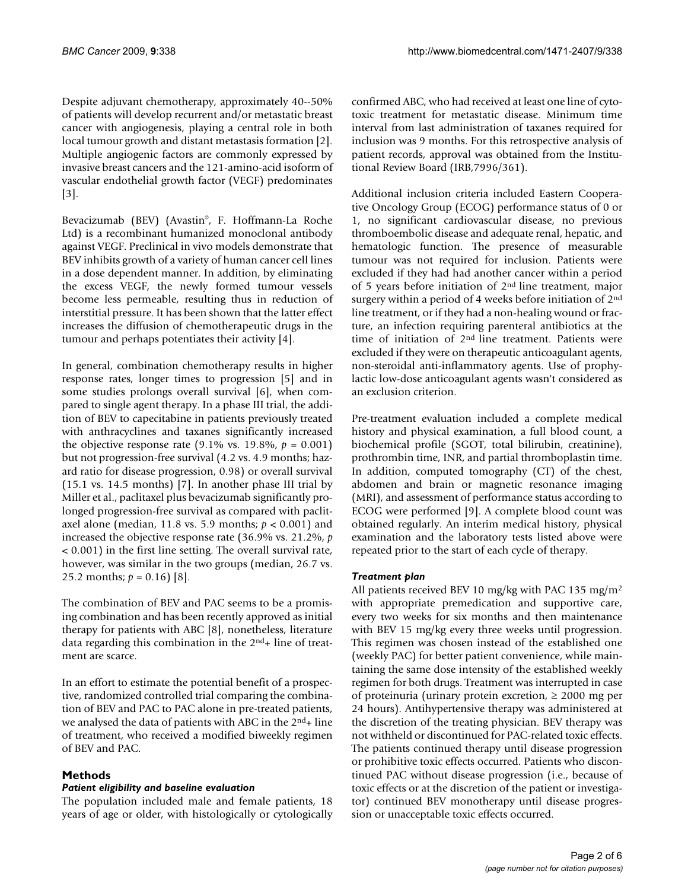Despite adjuvant chemotherapy, approximately 40--50% of patients will develop recurrent and/or metastatic breast cancer with angiogenesis, playing a central role in both local tumour growth and distant metastasis formation [[2](#page-4-1)]. Multiple angiogenic factors are commonly expressed by invasive breast cancers and the 121-amino-acid isoform of vascular endothelial growth factor (VEGF) predominates [[3\]](#page-4-2).

Bevacizumab (BEV) (Avastin©, F. Hoffmann-La Roche Ltd) is a recombinant humanized monoclonal antibody against VEGF. Preclinical in vivo models demonstrate that BEV inhibits growth of a variety of human cancer cell lines in a dose dependent manner. In addition, by eliminating the excess VEGF, the newly formed tumour vessels become less permeable, resulting thus in reduction of interstitial pressure. It has been shown that the latter effect increases the diffusion of chemotherapeutic drugs in the tumour and perhaps potentiates their activity [\[4\]](#page-5-0).

In general, combination chemotherapy results in higher response rates, longer times to progression [\[5\]](#page-5-1) and in some studies prolongs overall survival [\[6\]](#page-5-2), when compared to single agent therapy. In a phase III trial, the addition of BEV to capecitabine in patients previously treated with anthracyclines and taxanes significantly increased the objective response rate  $(9.1\% \text{ vs. } 19.8\%, p = 0.001)$ but not progression-free survival (4.2 vs. 4.9 months; hazard ratio for disease progression, 0.98) or overall survival (15.1 vs. 14.5 months) [\[7\]](#page-5-3). In another phase III trial by Miller et al., paclitaxel plus bevacizumab significantly prolonged progression-free survival as compared with paclitaxel alone (median, 11.8 vs. 5.9 months; *p* < 0.001) and increased the objective response rate (36.9% vs. 21.2%, *p* < 0.001) in the first line setting. The overall survival rate, however, was similar in the two groups (median, 26.7 vs. 25.2 months;  $p = 0.16$  [[8](#page-5-4)].

The combination of BEV and PAC seems to be a promising combination and has been recently approved as initial therapy for patients with ABC [\[8\]](#page-5-4), nonetheless, literature data regarding this combination in the  $2<sup>nd</sup>$ + line of treatment are scarce.

In an effort to estimate the potential benefit of a prospective, randomized controlled trial comparing the combination of BEV and PAC to PAC alone in pre-treated patients, we analysed the data of patients with ABC in the  $2<sup>nd</sup>$ + line of treatment, who received a modified biweekly regimen of BEV and PAC.

# **Methods**

# *Patient eligibility and baseline evaluation*

The population included male and female patients, 18 years of age or older, with histologically or cytologically confirmed ABC, who had received at least one line of cytotoxic treatment for metastatic disease. Minimum time interval from last administration of taxanes required for inclusion was 9 months. For this retrospective analysis of patient records, approval was obtained from the Institutional Review Board (IRB,7996/361).

Additional inclusion criteria included Eastern Cooperative Oncology Group (ECOG) performance status of 0 or 1, no significant cardiovascular disease, no previous thromboembolic disease and adequate renal, hepatic, and hematologic function. The presence of measurable tumour was not required for inclusion. Patients were excluded if they had had another cancer within a period of 5 years before initiation of 2nd line treatment, major surgery within a period of 4 weeks before initiation of 2nd line treatment, or if they had a non-healing wound or fracture, an infection requiring parenteral antibiotics at the time of initiation of 2nd line treatment. Patients were excluded if they were on therapeutic anticoagulant agents, non-steroidal anti-inflammatory agents. Use of prophylactic low-dose anticoagulant agents wasn't considered as an exclusion criterion.

Pre-treatment evaluation included a complete medical history and physical examination, a full blood count, a biochemical profile (SGOT, total bilirubin, creatinine), prothrombin time, INR, and partial thromboplastin time. In addition, computed tomography (CT) of the chest, abdomen and brain or magnetic resonance imaging (MRI), and assessment of performance status according to ECOG were performed [\[9](#page-5-5)]. A complete blood count was obtained regularly. An interim medical history, physical examination and the laboratory tests listed above were repeated prior to the start of each cycle of therapy.

# *Treatment plan*

All patients received BEV 10 mg/kg with PAC 135 mg/m2 with appropriate premedication and supportive care, every two weeks for six months and then maintenance with BEV 15 mg/kg every three weeks until progression. This regimen was chosen instead of the established one (weekly PAC) for better patient convenience, while maintaining the same dose intensity of the established weekly regimen for both drugs. Treatment was interrupted in case of proteinuria (urinary protein excretion,  $\geq 2000$  mg per 24 hours). Antihypertensive therapy was administered at the discretion of the treating physician. BEV therapy was not withheld or discontinued for PAC-related toxic effects. The patients continued therapy until disease progression or prohibitive toxic effects occurred. Patients who discontinued PAC without disease progression (i.e., because of toxic effects or at the discretion of the patient or investigator) continued BEV monotherapy until disease progression or unacceptable toxic effects occurred.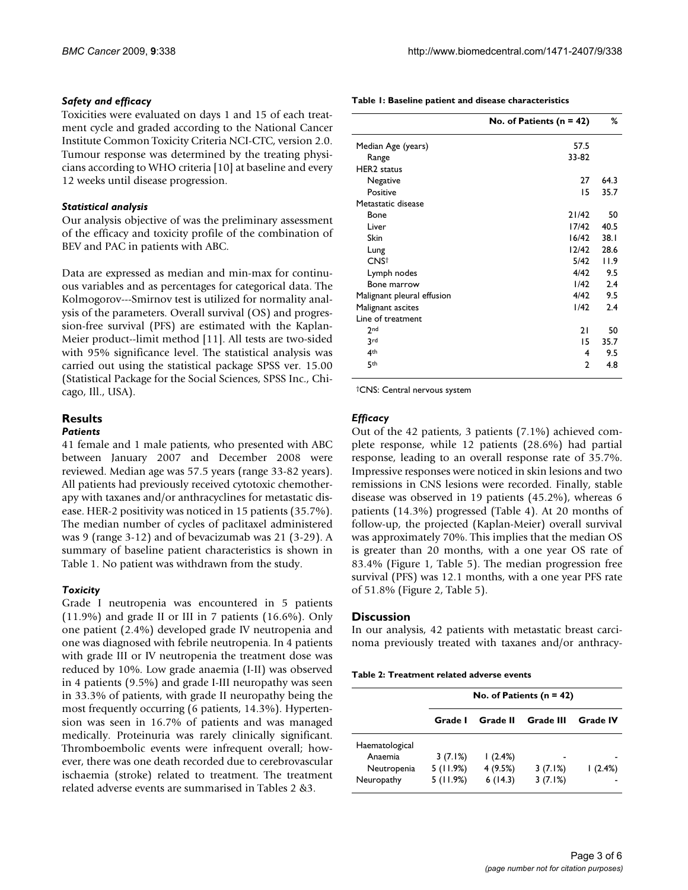## *Safety and efficacy*

Toxicities were evaluated on days 1 and 15 of each treatment cycle and graded according to the National Cancer Institute Common Toxicity Criteria NCI-CTC, version 2.0. Tumour response was determined by the treating physicians according to WHO criteria [\[10](#page-5-6)] at baseline and every 12 weeks until disease progression.

## *Statistical analysis*

Our analysis objective of was the preliminary assessment of the efficacy and toxicity profile of the combination of BEV and PAC in patients with ABC.

Data are expressed as median and min-max for continuous variables and as percentages for categorical data. The Kolmogorov---Smirnov test is utilized for normality analysis of the parameters. Overall survival (OS) and progression-free survival (PFS) are estimated with the Kaplan-Meier product--limit method [[11\]](#page-5-7). All tests are two-sided with 95% significance level. The statistical analysis was carried out using the statistical package SPSS ver. 15.00 (Statistical Package for the Social Sciences, SPSS Inc., Chicago, Ill., USA).

# **Results**

#### *Patients*

41 female and 1 male patients, who presented with ABC between January 2007 and December 2008 were reviewed. Median age was 57.5 years (range 33-82 years). All patients had previously received cytotoxic chemotherapy with taxanes and/or anthracyclines for metastatic disease. HER-2 positivity was noticed in 15 patients (35.7%). The median number of cycles of paclitaxel administered was 9 (range 3-12) and of bevacizumab was 21 (3-29). A summary of baseline patient characteristics is shown in Table [1.](#page-2-0) No patient was withdrawn from the study.

#### *Toxicity*

Grade I neutropenia was encountered in 5 patients (11.9%) and grade II or III in 7 patients (16.6%). Only one patient (2.4%) developed grade IV neutropenia and one was diagnosed with febrile neutropenia. In 4 patients with grade III or IV neutropenia the treatment dose was reduced by 10%. Low grade anaemia (I-II) was observed in 4 patients (9.5%) and grade I-III neuropathy was seen in 33.3% of patients, with grade II neuropathy being the most frequently occurring (6 patients, 14.3%). Hypertension was seen in 16.7% of patients and was managed medically. Proteinuria was rarely clinically significant. Thromboembolic events were infrequent overall; however, there was one death recorded due to cerebrovascular ischaemia (stroke) related to treatment. The treatment related adverse events are summarised in Tables [2](#page-2-1) [&3.](#page-3-0)

<span id="page-2-0"></span>

| Table 1: Baseline patient and disease characteristics |  |
|-------------------------------------------------------|--|
|-------------------------------------------------------|--|

|                            | No. of Patients ( $n = 42$ ) | %    |
|----------------------------|------------------------------|------|
| Median Age (years)         | 57.5                         |      |
| Range                      | 33-82                        |      |
| <b>HER2</b> status         |                              |      |
| Negative                   | 27                           | 64.3 |
| Positive                   | 15                           | 35.7 |
| Metastatic disease         |                              |      |
| Bone                       | 21/42                        | 50   |
| Liver                      | 17/42                        | 40.5 |
| Skin                       | 16/42                        | 38.1 |
| Lung                       | 12/42                        | 28.6 |
| CNS <sup>+</sup>           | 5/42                         | 11.9 |
| Lymph nodes                | 4/42                         | 9.5  |
| Bone marrow                | 1/42                         | 2.4  |
| Malignant pleural effusion | 4/42                         | 9.5  |
| Malignant ascites          | 1/42                         | 2.4  |
| Line of treatment          |                              |      |
| 2 <sub>nd</sub>            | 21                           | 50   |
| 3rd                        | 15                           | 35.7 |
| 4 <sup>th</sup>            | 4                            | 9.5  |
| 5th                        | 2                            | 4.8  |
|                            |                              |      |

†CNS: Central nervous system

### *Efficacy*

Out of the 42 patients, 3 patients (7.1%) achieved complete response, while 12 patients (28.6%) had partial response, leading to an overall response rate of 35.7%. Impressive responses were noticed in skin lesions and two remissions in CNS lesions were recorded. Finally, stable disease was observed in 19 patients (45.2%), whereas 6 patients (14.3%) progressed (Table [4\)](#page-4-3). At 20 months of follow-up, the projected (Kaplan-Meier) overall survival was approximately 70%. This implies that the median OS is greater than 20 months, with a one year OS rate of 83.4% (Figure [1](#page-3-1), Table [5](#page-4-4)). The median progression free survival (PFS) was 12.1 months, with a one year PFS rate of 51.8% (Figure [2](#page-4-5), Table [5\)](#page-4-4).

#### **Discussion**

In our analysis, 42 patients with metastatic breast carcinoma previously treated with taxanes and/or anthracy-

<span id="page-2-1"></span>

|  | Table 2: Treatment related adverse events |  |  |  |
|--|-------------------------------------------|--|--|--|
|--|-------------------------------------------|--|--|--|

|                                                        | No. of Patients ( $n = 42$ )    |                               |                    |                 |
|--------------------------------------------------------|---------------------------------|-------------------------------|--------------------|-----------------|
|                                                        | Grade I                         | Grade II                      | Grade III          | <b>Grade IV</b> |
| Haematological<br>Anaemia<br>Neutropenia<br>Neuropathy | 3(7.1%)<br>5(11.9%)<br>5(11.9%) | 1(2.4%)<br>4(9.5%)<br>6(14.3) | 3(7.1%)<br>3(7.1%) | 1(2.4%)         |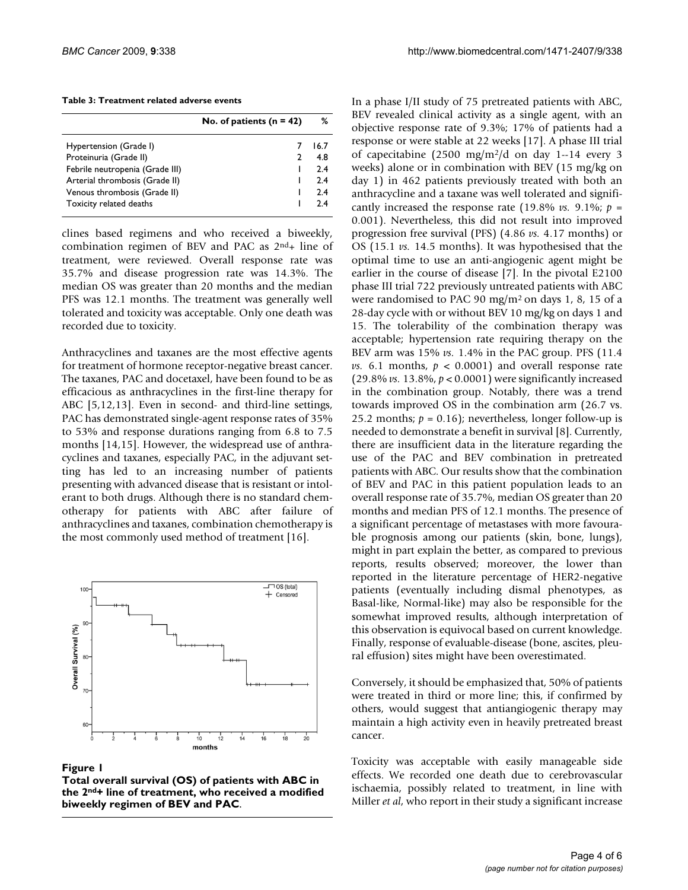<span id="page-3-0"></span>

|                                 | No. of patients $(n = 42)$ | ℅    |
|---------------------------------|----------------------------|------|
| Hypertension (Grade I)          |                            | 16.7 |
| Proteinuria (Grade II)          |                            | 4.8  |
| Febrile neutropenia (Grade III) |                            | 2.4  |
| Arterial thrombosis (Grade II)  |                            | 2.4  |
| Venous thrombosis (Grade II)    |                            | 2.4  |
| Toxicity related deaths         |                            | 24   |

clines based regimens and who received a biweekly, combination regimen of BEV and PAC as  $2<sup>nd</sup>$ + line of treatment, were reviewed. Overall response rate was 35.7% and disease progression rate was 14.3%. The median OS was greater than 20 months and the median PFS was 12.1 months. The treatment was generally well tolerated and toxicity was acceptable. Only one death was recorded due to toxicity.

Anthracyclines and taxanes are the most effective agents for treatment of hormone receptor-negative breast cancer. The taxanes, PAC and docetaxel, have been found to be as efficacious as anthracyclines in the first-line therapy for ABC [\[5](#page-5-1)[,12](#page-5-8),[13](#page-5-9)]. Even in second- and third-line settings, PAC has demonstrated single-agent response rates of 35% to 53% and response durations ranging from 6.8 to 7.5 months [\[14](#page-5-10)[,15](#page-5-11)]. However, the widespread use of anthracyclines and taxanes, especially PAC, in the adjuvant setting has led to an increasing number of patients presenting with advanced disease that is resistant or intolerant to both drugs. Although there is no standard chemotherapy for patients with ABC after failure of anthracyclines and taxanes, combination chemotherapy is the most commonly used method of treatment [[16\]](#page-5-12).

<span id="page-3-1"></span>

#### Figure 1

**Total overall survival (OS) of patients with ABC in the 2nd+ line of treatment, who received a modified biweekly regimen of BEV and PAC**.

In a phase I/II study of 75 pretreated patients with ABC, BEV revealed clinical activity as a single agent, with an objective response rate of 9.3%; 17% of patients had a response or were stable at 22 weeks [\[17](#page-5-13)]. A phase III trial of capecitabine (2500 mg/m2/d on day 1--14 every 3 weeks) alone or in combination with BEV (15 mg/kg on day 1) in 462 patients previously treated with both an anthracycline and a taxane was well tolerated and significantly increased the response rate  $(19.8\% \text{ vs. } 9.1\% \text{ ; } p =$ 0.001). Nevertheless, this did not result into improved progression free survival (PFS) (4.86 *vs.* 4.17 months) or OS (15.1 *vs.* 14.5 months). It was hypothesised that the optimal time to use an anti-angiogenic agent might be earlier in the course of disease [\[7\]](#page-5-3). In the pivotal E2100 phase III trial 722 previously untreated patients with ABC were randomised to PAC 90 mg/m2 on days 1, 8, 15 of a 28-day cycle with or without BEV 10 mg/kg on days 1 and 15. The tolerability of the combination therapy was acceptable; hypertension rate requiring therapy on the BEV arm was 15% *vs.* 1.4% in the PAC group. PFS (11.4 *vs.* 6.1 months,  $p < 0.0001$  and overall response rate (29.8% *vs.* 13.8%, *p* < 0.0001) were significantly increased in the combination group. Notably, there was a trend towards improved OS in the combination arm (26.7 vs. 25.2 months;  $p = 0.16$ ; nevertheless, longer follow-up is needed to demonstrate a benefit in survival [\[8](#page-5-4)]. Currently, there are insufficient data in the literature regarding the use of the PAC and BEV combination in pretreated patients with ABC. Our results show that the combination of BEV and PAC in this patient population leads to an overall response rate of 35.7%, median OS greater than 20 months and median PFS of 12.1 months. The presence of a significant percentage of metastases with more favourable prognosis among our patients (skin, bone, lungs), might in part explain the better, as compared to previous reports, results observed; moreover, the lower than reported in the literature percentage of HER2-negative patients (eventually including dismal phenotypes, as Basal-like, Normal-like) may also be responsible for the somewhat improved results, although interpretation of this observation is equivocal based on current knowledge. Finally, response of evaluable-disease (bone, ascites, pleural effusion) sites might have been overestimated.

Conversely, it should be emphasized that, 50% of patients were treated in third or more line; this, if confirmed by others, would suggest that antiangiogenic therapy may maintain a high activity even in heavily pretreated breast cancer.

Toxicity was acceptable with easily manageable side effects. We recorded one death due to cerebrovascular ischaemia, possibly related to treatment, in line with Miller *et al*, who report in their study a significant increase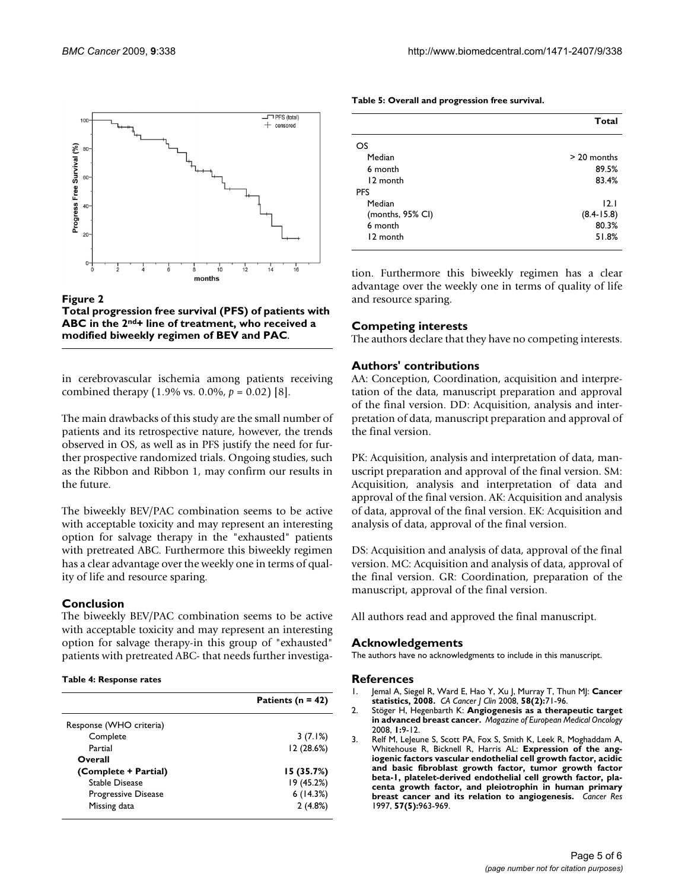<span id="page-4-5"></span>

Figure 2 **Total progression free survival (PFS) of patients with ABC in the 2nd+ line of treatment, who received a modified biweekly regimen of BEV and PAC**.

in cerebrovascular ischemia among patients receiving combined therapy (1.9% vs. 0.0%, *p* = 0.02) [\[8\]](#page-5-4).

The main drawbacks of this study are the small number of patients and its retrospective nature, however, the trends observed in OS, as well as in PFS justify the need for further prospective randomized trials. Ongoing studies, such as the Ribbon and Ribbon 1, may confirm our results in the future.

The biweekly BEV/PAC combination seems to be active with acceptable toxicity and may represent an interesting option for salvage therapy in the "exhausted" patients with pretreated ABC. Furthermore this biweekly regimen has a clear advantage over the weekly one in terms of quality of life and resource sparing.

# **Conclusion**

The biweekly BEV/PAC combination seems to be active with acceptable toxicity and may represent an interesting option for salvage therapy-in this group of "exhausted" patients with pretreated ABC- that needs further investiga-

#### <span id="page-4-3"></span>**Table 4: Response rates**

|                         | Patients ( $n = 42$ ) |
|-------------------------|-----------------------|
| Response (WHO criteria) |                       |
| Complete                | 3(7.1%)               |
| Partial                 | 12(28.6%)             |
| Overall                 |                       |
| (Complete + Partial)    | 15(35.7%)             |
| Stable Disease          | 19 (45.2%)            |
| Progressive Disease     | 6(14.3%)              |
| Missing data            | 2(4.8%)               |

<span id="page-4-4"></span>

|                  | Total          |
|------------------|----------------|
| OS               |                |
| Median           | $> 20$ months  |
| 6 month          | 89.5%          |
| 12 month         | 83.4%          |
| <b>PFS</b>       |                |
| Median           | 12.1           |
| (months, 95% CI) | $(8.4 - 15.8)$ |
| 6 month          | 80.3%          |
| 12 month         | 51.8%          |

tion. Furthermore this biweekly regimen has a clear advantage over the weekly one in terms of quality of life and resource sparing.

#### **Competing interests**

The authors declare that they have no competing interests.

#### **Authors' contributions**

AA: Conception, Coordination, acquisition and interpretation of the data, manuscript preparation and approval of the final version. DD: Acquisition, analysis and interpretation of data, manuscript preparation and approval of the final version.

PK: Acquisition, analysis and interpretation of data, manuscript preparation and approval of the final version. SM: Acquisition, analysis and interpretation of data and approval of the final version. AK: Acquisition and analysis of data, approval of the final version. EK: Acquisition and analysis of data, approval of the final version.

DS: Acquisition and analysis of data, approval of the final version. MC: Acquisition and analysis of data, approval of the final version. GR: Coordination, preparation of the manuscript, approval of the final version.

All authors read and approved the final manuscript.

#### **Acknowledgements**

The authors have no acknowledgments to include in this manuscript.

#### **References**

- <span id="page-4-0"></span>1. Jemal A, Siegel R, Ward E, Hao Y, Xu J, Murray T, Thun MJ: **[Cancer](http://www.ncbi.nlm.nih.gov/entrez/query.fcgi?cmd=Retrieve&db=PubMed&dopt=Abstract&list_uids=18287387) [statistics, 2008.](http://www.ncbi.nlm.nih.gov/entrez/query.fcgi?cmd=Retrieve&db=PubMed&dopt=Abstract&list_uids=18287387)** *CA Cancer J Clin* 2008, **58(2):**71-96.
- <span id="page-4-1"></span>2. Stöger H, Hegenbarth K: **Angiogenesis as a therapeutic target in advanced breast cancer.** *Magazine of European Medical Oncology* 2008, **1:**9-12.
- <span id="page-4-2"></span>3. Relf M, LeJeune S, Scott PA, Fox S, Smith K, Leek R, Moghaddam A, Whitehouse R, Bicknell R, Harris AL: **[Expression of the ang](http://www.ncbi.nlm.nih.gov/entrez/query.fcgi?cmd=Retrieve&db=PubMed&dopt=Abstract&list_uids=9041202)iogenic factors vascular endothelial cell growth factor, acidic [and basic fibroblast growth factor, tumor growth factor](http://www.ncbi.nlm.nih.gov/entrez/query.fcgi?cmd=Retrieve&db=PubMed&dopt=Abstract&list_uids=9041202) beta-1, platelet-derived endothelial cell growth factor, placenta growth factor, and pleiotrophin in human primary [breast cancer and its relation to angiogenesis.](http://www.ncbi.nlm.nih.gov/entrez/query.fcgi?cmd=Retrieve&db=PubMed&dopt=Abstract&list_uids=9041202)** *Cancer Res* 1997, **57(5):**963-969.